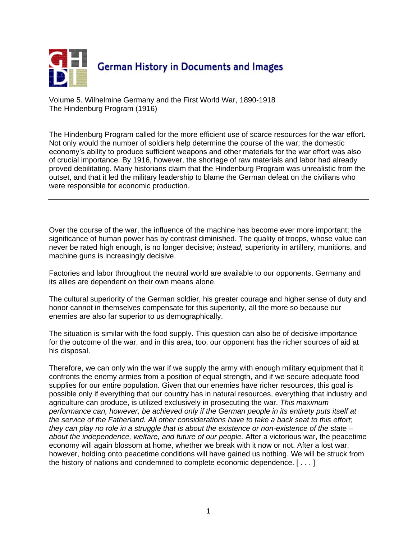

Volume 5. Wilhelmine Germany and the First World War, 1890-1918 The Hindenburg Program (1916)

The Hindenburg Program called for the more efficient use of scarce resources for the war effort. Not only would the number of soldiers help determine the course of the war; the domestic economy's ability to produce sufficient weapons and other materials for the war effort was also of crucial importance. By 1916, however, the shortage of raw materials and labor had already proved debilitating. Many historians claim that the Hindenburg Program was unrealistic from the outset, and that it led the military leadership to blame the German defeat on the civilians who were responsible for economic production.

Over the course of the war, the influence of the machine has become ever more important; the significance of human power has by contrast diminished. The quality of troops, whose value can never be rated high enough, is no longer decisive; *instead,* superiority in artillery, munitions, and machine guns is increasingly decisive.

Factories and labor throughout the neutral world are available to our opponents. Germany and its allies are dependent on their own means alone.

The cultural superiority of the German soldier, his greater courage and higher sense of duty and honor cannot in themselves compensate for this superiority, all the more so because our enemies are also far superior to us demographically.

The situation is similar with the food supply. This question can also be of decisive importance for the outcome of the war, and in this area, too, our opponent has the richer sources of aid at his disposal.

Therefore, we can only win the war if we supply the army with enough military equipment that it confronts the enemy armies from a position of equal strength, and if we secure adequate food supplies for our entire population. Given that our enemies have richer resources, this goal is possible only if everything that our country has in natural resources, everything that industry and agriculture can produce, is utilized exclusively in prosecuting the war. *This maximum performance can, however, be achieved only if the German people in its entirety puts itself at the service of the Fatherland. All other considerations have to take a back seat to this effort; they can play no role in a struggle that is about the existence or non-existence of the state – about the independence, welfare, and future of our people.* After a victorious war, the peacetime economy will again blossom at home, whether we break with it now or not. After a lost war, however, holding onto peacetime conditions will have gained us nothing. We will be struck from the history of nations and condemned to complete economic dependence. [ . . . ]